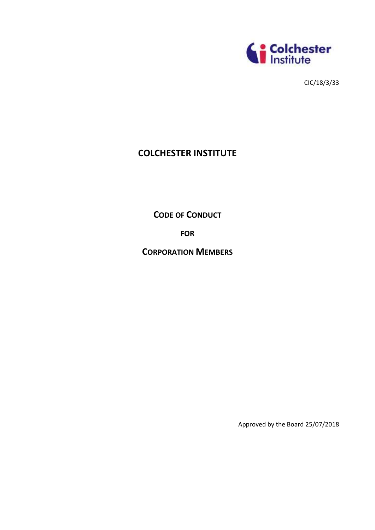

CIC/18/3/33

# **COLCHESTER INSTITUTE**

**CODE OF CONDUCT**

**FOR**

**CORPORATION MEMBERS**

Approved by the Board 25/07/2018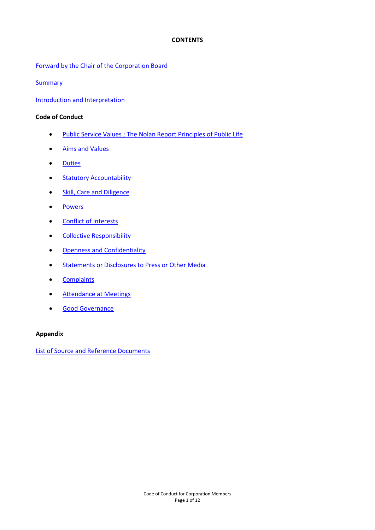## **CONTENTS**

Forward by the Chair [of the Corporation Board](#page-2-0)

**[Summary](#page-3-0)** 

[Introduction and Interpretation](#page-4-0)

## **Code of Conduct**

- [Public Service Values ; The Nolan Report Principles of Public Life](#page-5-0)
- [Aims and Values](#page-6-0)
- [Duties](#page-6-1)
- [Statutory Accountability](#page-7-0)
- [Skill, Care and Diligence](#page-7-1)
- [Powers](#page-7-2)
- [Conflict of Interests](#page-8-0)
- [Collective Responsibility](#page-9-0)
- **•** [Openness and Confidentiality](#page-9-1)
- **[Statements or Disclosures to Press or Other Media](#page-10-0)**
- [Complaints](#page-10-1)
- [Attendance at Meetings](#page-10-2)
- [Good Governance](#page-10-3)

## **Appendix**

[List of Source and Reference Documents](#page-12-0)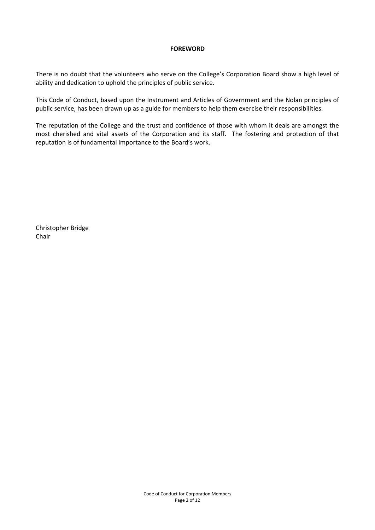## **FOREWORD**

<span id="page-2-0"></span>There is no doubt that the volunteers who serve on the College's Corporation Board show a high level of ability and dedication to uphold the principles of public service.

This Code of Conduct, based upon the Instrument and Articles of Government and the Nolan principles of public service, has been drawn up as a guide for members to help them exercise their responsibilities.

The reputation of the College and the trust and confidence of those with whom it deals are amongst the most cherished and vital assets of the Corporation and its staff. The fostering and protection of that reputation is of fundamental importance to the Board's work.

Christopher Bridge Chair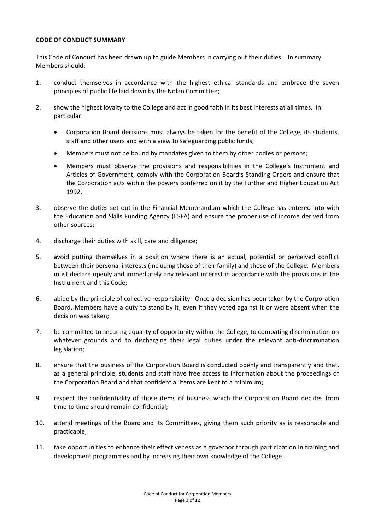# <span id="page-3-0"></span>**CODE OF CONDUCT SUMMARY**

This Code of Conduct has been drawn up to guide Members in carrying out their duties. In summary Members should:

- 1. conduct themselves in accordance with the highest ethical standards and embrace the seven principles of public life laid down by the Nolan Committee;
- 2. show the highest loyalty to the College and act in good faith in its best interests at all times. In particular
	- Corporation Board decisions must always be taken for the benefit of the College, its students, staff and other users and with a view to safeguarding public funds;
	- Members must not be bound by mandates given to them by other bodies or persons;
	- Members must observe the provisions and responsibilities in the College's Instrument and Articles of Government, comply with the Corporation Board's Standing Orders and ensure that the Corporation acts within the powers conferred on it by the Further and Higher Education Act 1992.
- 3. observe the duties set out in the Financial Memorandum which the College has entered into with the Education and Skills Funding Agency (ESFA) and ensure the proper use of income derived from other sources;
- 4. discharge their duties with skill, care and diligence;
- 5. avoid putting themselves in a position where there is an actual, potential or perceived conflict between their personal interests (including those of their family) and those of the College. Members must declare openly and immediately any relevant interest in accordance with the provisions in the Instrument and this Code;
- 6. abide by the principle of collective responsibility. Once a decision has been taken by the Corporation Board, Members have a duty to stand by it, even if they voted against it or were absent when the decision was taken;
- 7. be committed to securing equality of opportunity within the College, to combating discrimination on whatever grounds and to discharging their legal duties under the relevant anti-discrimination legislation;
- 8. ensure that the business of the Corporation Board is conducted openly and transparently and that, as a general principle, students and staff have free access to information about the proceedings of the Corporation Board and that confidential items are kept to a minimum;
- 9. respect the confidentiality of those items of business which the Corporation Board decides from time to time should remain confidential;
- 10. attend meetings of the Board and its Committees, giving them such priority as is reasonable and practicable;
- 11. take opportunities to enhance their effectiveness as a governor through participation in training and development programmes and by increasing their own knowledge of the College.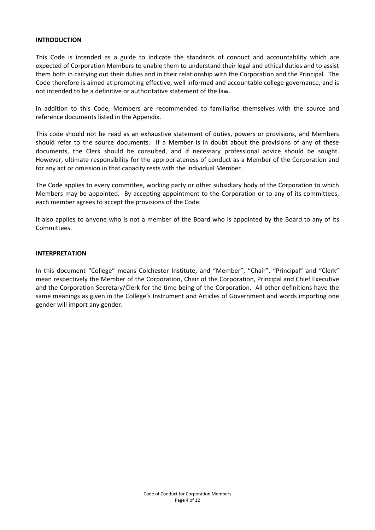## <span id="page-4-0"></span>**INTRODUCTION**

This Code is intended as a guide to indicate the standards of conduct and accountability which are expected of Corporation Members to enable them to understand their legal and ethical duties and to assist them both in carrying out their duties and in their relationship with the Corporation and the Principal. The Code therefore is aimed at promoting effective, well informed and accountable college governance, and is not intended to be a definitive or authoritative statement of the law.

In addition to this Code, Members are recommended to familiarise themselves with the source and reference documents listed in the Appendix.

This code should not be read as an exhaustive statement of duties, powers or provisions, and Members should refer to the source documents. If a Member is in doubt about the provisions of any of these documents, the Clerk should be consulted, and if necessary professional advice should be sought. However, ultimate responsibility for the appropriateness of conduct as a Member of the Corporation and for any act or omission in that capacity rests with the individual Member.

The Code applies to every committee, working party or other subsidiary body of the Corporation to which Members may be appointed. By accepting appointment to the Corporation or to any of its committees, each member agrees to accept the provisions of the Code.

It also applies to anyone who is not a member of the Board who is appointed by the Board to any of its Committees.

# **INTERPRETATION**

In this document "College" means Colchester Institute, and "Member", "Chair", "Principal" and "Clerk" mean respectively the Member of the Corporation, Chair of the Corporation, Principal and Chief Executive and the Corporation Secretary/Clerk for the time being of the Corporation. All other definitions have the same meanings as given in the College's Instrument and Articles of Government and words importing one gender will import any gender.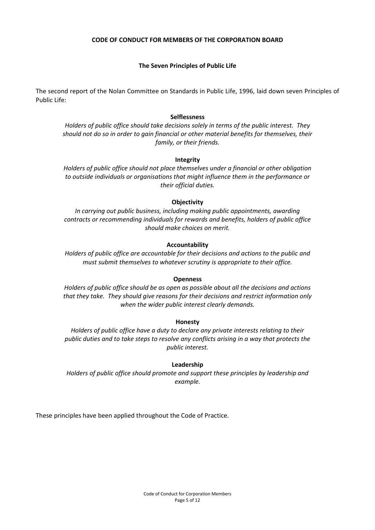# **CODE OF CONDUCT FOR MEMBERS OF THE CORPORATION BOARD**

# **The Seven Principles of Public Life**

<span id="page-5-0"></span>The second report of the Nolan Committee on Standards in Public Life, 1996, laid down seven Principles of Public Life:

### **Selflessness**

*Holders of public office should take decisions solely in terms of the public interest. They should not do so in order to gain financial or other material benefits for themselves, their family, or their friends.*

#### **Integrity**

*Holders of public office should not place themselves under a financial or other obligation to outside individuals or organisations that might influence them in the performance or their official duties.*

#### **Objectivity**

*In carrying out public business, including making public appointments, awarding contracts or recommending individuals for rewards and benefits, holders of public office should make choices on merit.*

## **Accountability**

*Holders of public office are accountable for their decisions and actions to the public and must submit themselves to whatever scrutiny is appropriate to their office.*

#### **Openness**

*Holders of public office should be as open as possible about all the decisions and actions that they take. They should give reasons for their decisions and restrict information only when the wider public interest clearly demands.*

#### **Honesty**

*Holders of public office have a duty to declare any private interests relating to their public duties and to take steps to resolve any conflicts arising in a way that protects the public interest.*

#### **Leadership**

*Holders of public office should promote and support these principles by leadership and example.*

These principles have been applied throughout the Code of Practice.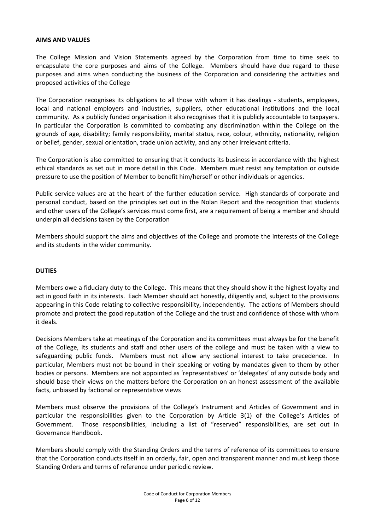## <span id="page-6-0"></span>**AIMS AND VALUES**

The College Mission and Vision Statements agreed by the Corporation from time to time seek to encapsulate the core purposes and aims of the College. Members should have due regard to these purposes and aims when conducting the business of the Corporation and considering the activities and proposed activities of the College

The Corporation recognises its obligations to all those with whom it has dealings - students, employees, local and national employers and industries, suppliers, other educational institutions and the local community. As a publicly funded organisation it also recognises that it is publicly accountable to taxpayers. In particular the Corporation is committed to combating any discrimination within the College on the grounds of age, disability; family responsibility, marital status, race, colour, ethnicity, nationality, religion or belief, gender, sexual orientation, trade union activity, and any other irrelevant criteria.

The Corporation is also committed to ensuring that it conducts its business in accordance with the highest ethical standards as set out in more detail in this Code. Members must resist any temptation or outside pressure to use the position of Member to benefit him/herself or other individuals or agencies.

Public service values are at the heart of the further education service. High standards of corporate and personal conduct, based on the principles set out in the Nolan Report and the recognition that students and other users of the College's services must come first, are a requirement of being a member and should underpin all decisions taken by the Corporation

Members should support the aims and objectives of the College and promote the interests of the College and its students in the wider community.

## <span id="page-6-1"></span>**DUTIES**

Members owe a fiduciary duty to the College. This means that they should show it the highest loyalty and act in good faith in its interests. Each Member should act honestly, diligently and, subject to the provisions appearing in this Code relating to collective responsibility, independently. The actions of Members should promote and protect the good reputation of the College and the trust and confidence of those with whom it deals.

Decisions Members take at meetings of the Corporation and its committees must always be for the benefit of the College, its students and staff and other users of the college and must be taken with a view to safeguarding public funds. Members must not allow any sectional interest to take precedence. In particular, Members must not be bound in their speaking or voting by mandates given to them by other bodies or persons. Members are not appointed as 'representatives' or 'delegates' of any outside body and should base their views on the matters before the Corporation on an honest assessment of the available facts, unbiased by factional or representative views

Members must observe the provisions of the College's Instrument and Articles of Government and in particular the responsibilities given to the Corporation by Article 3(1) of the College's Articles of Government. Those responsibilities, including a list of "reserved" responsibilities, are set out in Governance Handbook.

Members should comply with the Standing Orders and the terms of reference of its committees to ensure that the Corporation conducts itself in an orderly, fair, open and transparent manner and must keep those Standing Orders and terms of reference under periodic review.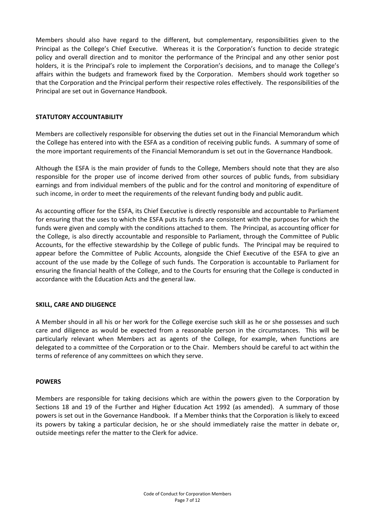Members should also have regard to the different, but complementary, responsibilities given to the Principal as the College's Chief Executive. Whereas it is the Corporation's function to decide strategic policy and overall direction and to monitor the performance of the Principal and any other senior post holders, it is the Principal's role to implement the Corporation's decisions, and to manage the College's affairs within the budgets and framework fixed by the Corporation. Members should work together so that the Corporation and the Principal perform their respective roles effectively. The responsibilities of the Principal are set out in Governance Handbook.

# <span id="page-7-0"></span>**STATUTORY ACCOUNTABILITY**

Members are collectively responsible for observing the duties set out in the Financial Memorandum which the College has entered into with the ESFA as a condition of receiving public funds. A summary of some of the more important requirements of the Financial Memorandum is set out in the Governance Handbook.

Although the ESFA is the main provider of funds to the College, Members should note that they are also responsible for the proper use of income derived from other sources of public funds, from subsidiary earnings and from individual members of the public and for the control and monitoring of expenditure of such income, in order to meet the requirements of the relevant funding body and public audit.

As accounting officer for the ESFA, its Chief Executive is directly responsible and accountable to Parliament for ensuring that the uses to which the ESFA puts its funds are consistent with the purposes for which the funds were given and comply with the conditions attached to them. The Principal, as accounting officer for the College, is also directly accountable and responsible to Parliament, through the Committee of Public Accounts, for the effective stewardship by the College of public funds. The Principal may be required to appear before the Committee of Public Accounts, alongside the Chief Executive of the ESFA to give an account of the use made by the College of such funds. The Corporation is accountable to Parliament for ensuring the financial health of the College, and to the Courts for ensuring that the College is conducted in accordance with the Education Acts and the general law.

## <span id="page-7-1"></span>**SKILL, CARE AND DILIGENCE**

A Member should in all his or her work for the College exercise such skill as he or she possesses and such care and diligence as would be expected from a reasonable person in the circumstances. This will be particularly relevant when Members act as agents of the College, for example, when functions are delegated to a committee of the Corporation or to the Chair. Members should be careful to act within the terms of reference of any committees on which they serve.

## <span id="page-7-2"></span>**POWERS**

Members are responsible for taking decisions which are within the powers given to the Corporation by Sections 18 and 19 of the Further and Higher Education Act 1992 (as amended). A summary of those powers is set out in the Governance Handbook. If a Member thinks that the Corporation is likely to exceed its powers by taking a particular decision, he or she should immediately raise the matter in debate or, outside meetings refer the matter to the Clerk for advice.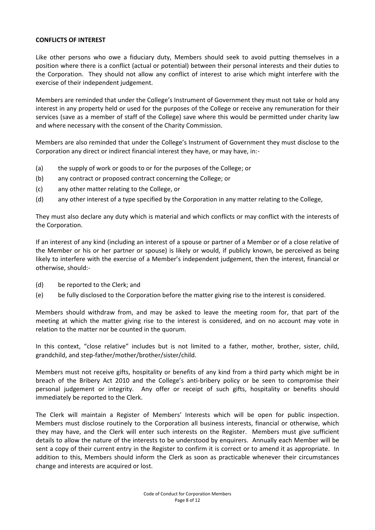## <span id="page-8-0"></span>**CONFLICTS OF INTEREST**

Like other persons who owe a fiduciary duty, Members should seek to avoid putting themselves in a position where there is a conflict (actual or potential) between their personal interests and their duties to the Corporation. They should not allow any conflict of interest to arise which might interfere with the exercise of their independent judgement.

Members are reminded that under the College's Instrument of Government they must not take or hold any interest in any property held or used for the purposes of the College or receive any remuneration for their services (save as a member of staff of the College) save where this would be permitted under charity law and where necessary with the consent of the Charity Commission.

Members are also reminded that under the College's Instrument of Government they must disclose to the Corporation any direct or indirect financial interest they have, or may have, in:-

- (a) the supply of work or goods to or for the purposes of the College; or
- (b) any contract or proposed contract concerning the College; or
- (c) any other matter relating to the College, or
- (d) any other interest of a type specified by the Corporation in any matter relating to the College,

They must also declare any duty which is material and which conflicts or may conflict with the interests of the Corporation.

If an interest of any kind (including an interest of a spouse or partner of a Member or of a close relative of the Member or his or her partner or spouse) is likely or would, if publicly known, be perceived as being likely to interfere with the exercise of a Member's independent judgement, then the interest, financial or otherwise, should:-

- (d) be reported to the Clerk; and
- (e) be fully disclosed to the Corporation before the matter giving rise to the interest is considered.

Members should withdraw from, and may be asked to leave the meeting room for, that part of the meeting at which the matter giving rise to the interest is considered, and on no account may vote in relation to the matter nor be counted in the quorum.

In this context, "close relative" includes but is not limited to a father, mother, brother, sister, child, grandchild, and step-father/mother/brother/sister/child.

Members must not receive gifts, hospitality or benefits of any kind from a third party which might be in breach of the Bribery Act 2010 and the College's anti-bribery policy or be seen to compromise their personal judgement or integrity. Any offer or receipt of such gifts, hospitality or benefits should immediately be reported to the Clerk.

The Clerk will maintain a Register of Members' Interests which will be open for public inspection. Members must disclose routinely to the Corporation all business interests, financial or otherwise, which they may have, and the Clerk will enter such interests on the Register. Members must give sufficient details to allow the nature of the interests to be understood by enquirers. Annually each Member will be sent a copy of their current entry in the Register to confirm it is correct or to amend it as appropriate. In addition to this, Members should inform the Clerk as soon as practicable whenever their circumstances change and interests are acquired or lost.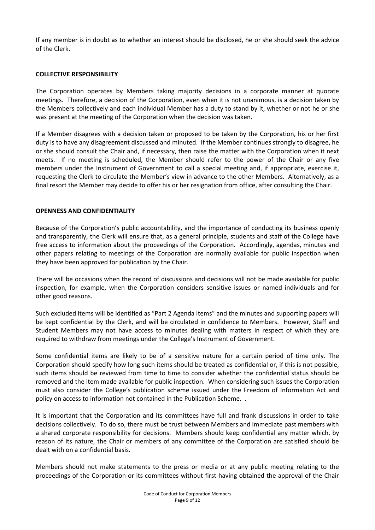If any member is in doubt as to whether an interest should be disclosed, he or she should seek the advice of the Clerk.

## <span id="page-9-0"></span>**COLLECTIVE RESPONSIBILITY**

The Corporation operates by Members taking majority decisions in a corporate manner at quorate meetings. Therefore, a decision of the Corporation, even when it is not unanimous, is a decision taken by the Members collectively and each individual Member has a duty to stand by it, whether or not he or she was present at the meeting of the Corporation when the decision was taken.

If a Member disagrees with a decision taken or proposed to be taken by the Corporation, his or her first duty is to have any disagreement discussed and minuted. If the Member continues strongly to disagree, he or she should consult the Chair and, if necessary, then raise the matter with the Corporation when it next meets. If no meeting is scheduled, the Member should refer to the power of the Chair or any five members under the Instrument of Government to call a special meeting and, if appropriate, exercise it, requesting the Clerk to circulate the Member's view in advance to the other Members. Alternatively, as a final resort the Member may decide to offer his or her resignation from office, after consulting the Chair.

## <span id="page-9-1"></span>**OPENNESS AND CONFIDENTIALITY**

Because of the Corporation's public accountability, and the importance of conducting its business openly and transparently, the Clerk will ensure that, as a general principle, students and staff of the College have free access to information about the proceedings of the Corporation. Accordingly, agendas, minutes and other papers relating to meetings of the Corporation are normally available for public inspection when they have been approved for publication by the Chair.

There will be occasions when the record of discussions and decisions will not be made available for public inspection, for example, when the Corporation considers sensitive issues or named individuals and for other good reasons.

Such excluded items will be identified as "Part 2 Agenda Items" and the minutes and supporting papers will be kept confidential by the Clerk, and will be circulated in confidence to Members. However, Staff and Student Members may not have access to minutes dealing with matters in respect of which they are required to withdraw from meetings under the College's Instrument of Government.

Some confidential items are likely to be of a sensitive nature for a certain period of time only. The Corporation should specify how long such items should be treated as confidential or, if this is not possible, such items should be reviewed from time to time to consider whether the confidential status should be removed and the item made available for public inspection. When considering such issues the Corporation must also consider the College's publication scheme issued under the Freedom of Information Act and policy on access to information not contained in the Publication Scheme. .

It is important that the Corporation and its committees have full and frank discussions in order to take decisions collectively. To do so, there must be trust between Members and immediate past members with a shared corporate responsibility for decisions. Members should keep confidential any matter which, by reason of its nature, the Chair or members of any committee of the Corporation are satisfied should be dealt with on a confidential basis.

Members should not make statements to the press or media or at any public meeting relating to the proceedings of the Corporation or its committees without first having obtained the approval of the Chair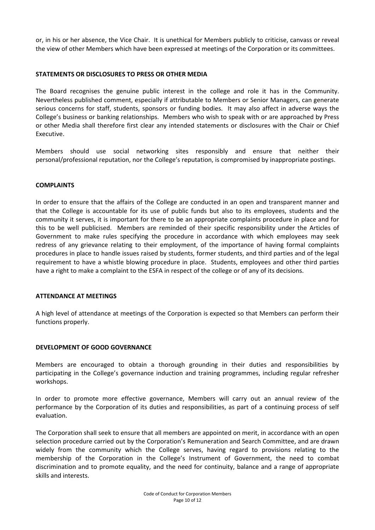or, in his or her absence, the Vice Chair. It is unethical for Members publicly to criticise, canvass or reveal the view of other Members which have been expressed at meetings of the Corporation or its committees.

## <span id="page-10-0"></span>**STATEMENTS OR DISCLOSURES TO PRESS OR OTHER MEDIA**

The Board recognises the genuine public interest in the college and role it has in the Community. Nevertheless published comment, especially if attributable to Members or Senior Managers, can generate serious concerns for staff, students, sponsors or funding bodies. It may also affect in adverse ways the College's business or banking relationships. Members who wish to speak with or are approached by Press or other Media shall therefore first clear any intended statements or disclosures with the Chair or Chief Executive.

Members should use social networking sites responsibly and ensure that neither their personal/professional reputation, nor the College's reputation, is compromised by inappropriate postings.

## <span id="page-10-1"></span>**COMPLAINTS**

In order to ensure that the affairs of the College are conducted in an open and transparent manner and that the College is accountable for its use of public funds but also to its employees, students and the community it serves, it is important for there to be an appropriate complaints procedure in place and for this to be well publicised. Members are reminded of their specific responsibility under the Articles of Government to make rules specifying the procedure in accordance with which employees may seek redress of any grievance relating to their employment, of the importance of having formal complaints procedures in place to handle issues raised by students, former students, and third parties and of the legal requirement to have a whistle blowing procedure in place. Students, employees and other third parties have a right to make a complaint to the ESFA in respect of the college or of any of its decisions.

## <span id="page-10-2"></span>**ATTENDANCE AT MEETINGS**

A high level of attendance at meetings of the Corporation is expected so that Members can perform their functions properly.

## <span id="page-10-3"></span>**DEVELOPMENT OF GOOD GOVERNANCE**

Members are encouraged to obtain a thorough grounding in their duties and responsibilities by participating in the College's governance induction and training programmes, including regular refresher workshops.

In order to promote more effective governance, Members will carry out an annual review of the performance by the Corporation of its duties and responsibilities, as part of a continuing process of self evaluation.

The Corporation shall seek to ensure that all members are appointed on merit, in accordance with an open selection procedure carried out by the Corporation's Remuneration and Search Committee, and are drawn widely from the community which the College serves, having regard to provisions relating to the membership of the Corporation in the College's Instrument of Government, the need to combat discrimination and to promote equality, and the need for continuity, balance and a range of appropriate skills and interests.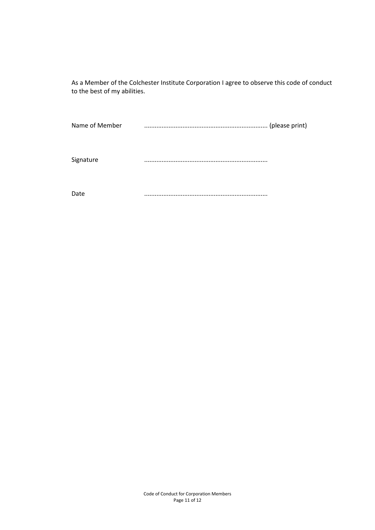As a Member of the Colchester Institute Corporation I agree to observe this code of conduct to the best of my abilities.

Name of Member ....................................................................... (please print)

Signature .......................................................................

Date .......................................................................

Code of Conduct for Corporation Members Page 11 of 12